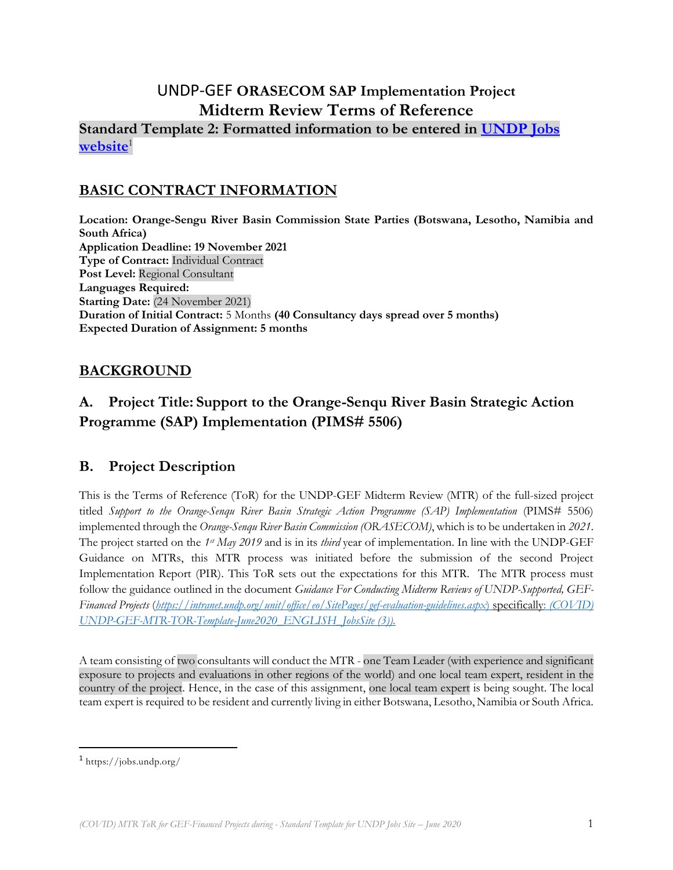# UNDP-GEF **ORASECOM SAP Implementation Project Midterm Review Terms of Reference Standard Template 2: Formatted information to be entered in [UNDP Jobs](https://jobs.undp.org/)  [website](https://jobs.undp.org/)**<sup>1</sup>

# **BASIC CONTRACT INFORMATION**

**Location: Orange-Sengu River Basin Commission State Parties (Botswana, Lesotho, Namibia and South Africa) Application Deadline: 19 November 2021 Type of Contract:** Individual Contract **Post Level:** Regional Consultant **Languages Required: Starting Date:** (24 November 2021) **Duration of Initial Contract:** 5 Months **(40 Consultancy days spread over 5 months) Expected Duration of Assignment: 5 months**

### **BACKGROUND**

# **A. Project Title: Support to the Orange-Senqu River Basin Strategic Action Programme (SAP) Implementation (PIMS# 5506)**

### **B. Project Description**

This is the Terms of Reference (ToR) for the UNDP-GEF Midterm Review (MTR) of the full-sized project titled *Support to the Orange-Senqu River Basin Strategic Action Programme (SAP) Implementation* (PIMS# 5506) implemented through the *Orange-Senqu River Basin Commission (ORASECOM)*, which is to be undertaken in *2021*. The project started on the *1st May 2019* and is in its *third* year of implementation. In line with the UNDP-GEF Guidance on MTRs, this MTR process was initiated before the submission of the second Project Implementation Report (PIR). This ToR sets out the expectations for this MTR. The MTR process must follow the guidance outlined in the document *Guidance For Conducting Midterm Reviews of UNDP-Supported, GEF-Financed Projects* (*<https://intranet.undp.org/unit/office/eo/SitePages/gef-evaluation-guidelines.aspx>*) specifically: *(COVID) UNDP-GEF-MTR-TOR-Template-June2020\_ENGLISH\_JobsSite (3)).*

A team consisting of two consultants will conduct the MTR - one Team Leader (with experience and significant exposure to projects and evaluations in other regions of the world) and one local team expert, resident in the country of the project. Hence, in the case of this assignment, one local team expert is being sought. The local team expert is required to be resident and currently living in either Botswana, Lesotho, Namibia or South Africa.

<sup>1</sup> https://jobs.undp.org/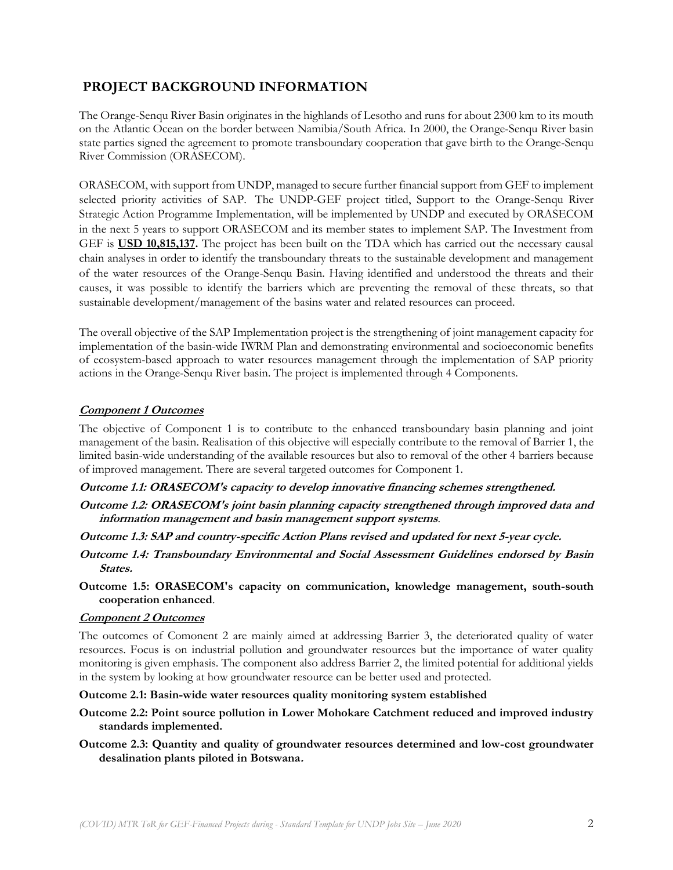### **PROJECT BACKGROUND INFORMATION**

The Orange-Senqu River Basin originates in the highlands of Lesotho and runs for about 2300 km to its mouth on the Atlantic Ocean on the border between Namibia/South Africa. In 2000, the Orange-Senqu River basin state parties signed the agreement to promote transboundary cooperation that gave birth to the Orange-Senqu River Commission (ORASECOM).

ORASECOM, with support from UNDP, managed to secure further financial support from GEF to implement selected priority activities of SAP. The UNDP-GEF project titled, Support to the Orange-Senqu River Strategic Action Programme Implementation, will be implemented by UNDP and executed by ORASECOM in the next 5 years to support ORASECOM and its member states to implement SAP. The Investment from GEF is **USD 10,815,137.** The project has been built on the TDA which has carried out the necessary causal chain analyses in order to identify the transboundary threats to the sustainable development and management of the water resources of the Orange-Senqu Basin. Having identified and understood the threats and their causes, it was possible to identify the barriers which are preventing the removal of these threats, so that sustainable development/management of the basins water and related resources can proceed.

The overall objective of the SAP Implementation project is the strengthening of joint management capacity for implementation of the basin-wide IWRM Plan and demonstrating environmental and socioeconomic benefits of ecosystem-based approach to water resources management through the implementation of SAP priority actions in the Orange-Senqu River basin. The project is implemented through 4 Components.

### **Component 1 Outcomes**

The objective of Component 1 is to contribute to the enhanced transboundary basin planning and joint management of the basin. Realisation of this objective will especially contribute to the removal of Barrier 1, the limited basin-wide understanding of the available resources but also to removal of the other 4 barriers because of improved management. There are several targeted outcomes for Component 1.

### **Outcome 1.1: ORASECOM's capacity to develop innovative financing schemes strengthened.**

- **Outcome 1.2: ORASECOM's joint basin planning capacity strengthened through improved data and information management and basin management support systems**.
- **Outcome 1.3: SAP and country-specific Action Plans revised and updated for next 5-year cycle.**
- **Outcome 1.4: Transboundary Environmental and Social Assessment Guidelines endorsed by Basin States.**
- **Outcome 1.5: ORASECOM's capacity on communication, knowledge management, south-south cooperation enhanced**.

### **Component 2 Outcomes**

The outcomes of Comonent 2 are mainly aimed at addressing Barrier 3, the deteriorated quality of water resources. Focus is on industrial pollution and groundwater resources but the importance of water quality monitoring is given emphasis. The component also address Barrier 2, the limited potential for additional yields in the system by looking at how groundwater resource can be better used and protected.

#### **Outcome 2.1: Basin-wide water resources quality monitoring system established**

- **Outcome 2.2: Point source pollution in Lower Mohokare Catchment reduced and improved industry standards implemented.**
- **Outcome 2.3: Quantity and quality of groundwater resources determined and low-cost groundwater desalination plants piloted in Botswana.**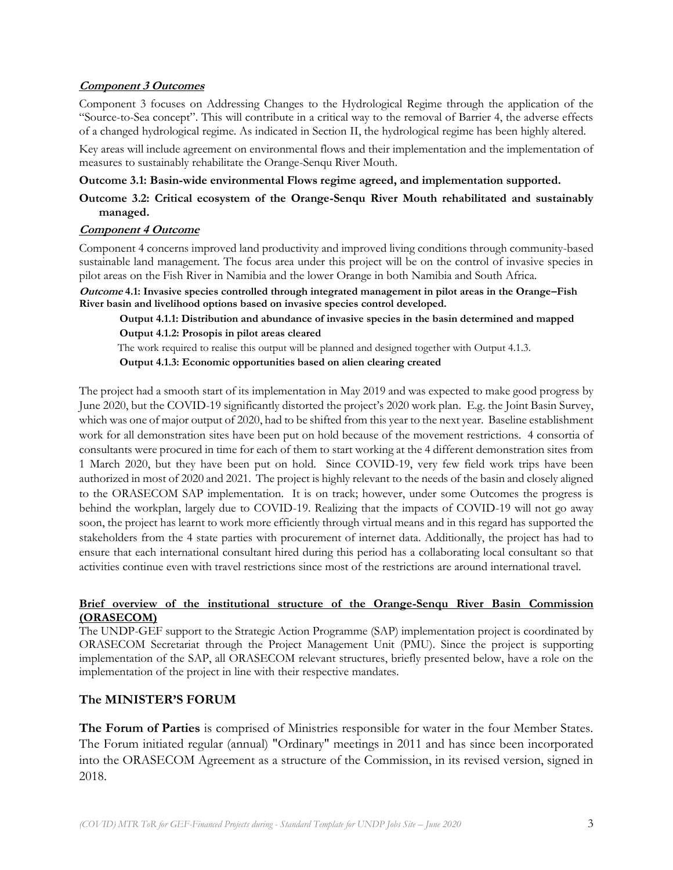### **Component 3 Outcomes**

Component 3 focuses on Addressing Changes to the Hydrological Regime through the application of the "Source-to-Sea concept". This will contribute in a critical way to the removal of Barrier 4, the adverse effects of a changed hydrological regime. As indicated in Section II, the hydrological regime has been highly altered.

Key areas will include agreement on environmental flows and their implementation and the implementation of measures to sustainably rehabilitate the Orange-Senqu River Mouth.

### **Outcome 3.1: Basin-wide environmental Flows regime agreed, and implementation supported.**

### **Outcome 3.2: Critical ecosystem of the Orange-Senqu River Mouth rehabilitated and sustainably managed.**

### **Component 4 Outcome**

Component 4 concerns improved land productivity and improved living conditions through community-based sustainable land management. The focus area under this project will be on the control of invasive species in pilot areas on the Fish River in Namibia and the lower Orange in both Namibia and South Africa.

**Outcome 4.1: Invasive species controlled through integrated management in pilot areas in the Orange–Fish River basin and livelihood options based on invasive species control developed.** 

**Output 4.1.1: Distribution and abundance of invasive species in the basin determined and mapped Output 4.1.2: Prosopis in pilot areas cleared** 

The work required to realise this output will be planned and designed together with Output 4.1.3.

**Output 4.1.3: Economic opportunities based on alien clearing created**

The project had a smooth start of its implementation in May 2019 and was expected to make good progress by June 2020, but the COVID-19 significantly distorted the project's 2020 work plan. E.g. the Joint Basin Survey, which was one of major output of 2020, had to be shifted from this year to the next year. Baseline establishment work for all demonstration sites have been put on hold because of the movement restrictions. 4 consortia of consultants were procured in time for each of them to start working at the 4 different demonstration sites from 1 March 2020, but they have been put on hold. Since COVID-19, very few field work trips have been authorized in most of 2020 and 2021. The project is highly relevant to the needs of the basin and closely aligned to the ORASECOM SAP implementation. It is on track; however, under some Outcomes the progress is behind the workplan, largely due to COVID-19. Realizing that the impacts of COVID-19 will not go away soon, the project has learnt to work more efficiently through virtual means and in this regard has supported the stakeholders from the 4 state parties with procurement of internet data. Additionally, the project has had to ensure that each international consultant hired during this period has a collaborating local consultant so that activities continue even with travel restrictions since most of the restrictions are around international travel.

#### **Brief overview of the institutional structure of the Orange-Senqu River Basin Commission (ORASECOM)**

The UNDP-GEF support to the Strategic Action Programme (SAP) implementation project is coordinated by ORASECOM Secretariat through the Project Management Unit (PMU). Since the project is supporting implementation of the SAP, all ORASECOM relevant structures, briefly presented below, have a role on the implementation of the project in line with their respective mandates.

### **The MINISTER'S FORUM**

**The Forum of Parties** is comprised of Ministries responsible for water in the four Member States. The Forum initiated regular (annual) "Ordinary" meetings in 2011 and has since been incorporated into the ORASECOM Agreement as a structure of the Commission, in its revised version, signed in 2018.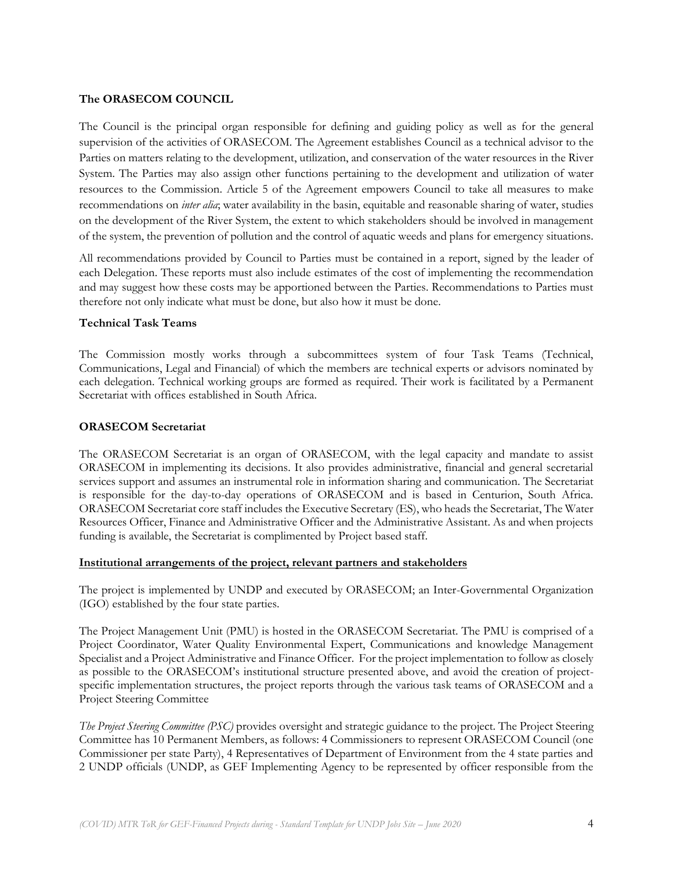#### **The ORASECOM COUNCIL**

The Council is the principal organ responsible for defining and guiding policy as well as for the general supervision of the activities of ORASECOM. The Agreement establishes Council as a technical advisor to the Parties on matters relating to the development, utilization, and conservation of the water resources in the River System. The Parties may also assign other functions pertaining to the development and utilization of water resources to the Commission. Article 5 of the Agreement empowers Council to take all measures to make recommendations on *inter alia*; water availability in the basin, equitable and reasonable sharing of water, studies on the development of the River System, the extent to which stakeholders should be involved in management of the system, the prevention of pollution and the control of aquatic weeds and plans for emergency situations.

All recommendations provided by Council to Parties must be contained in a report, signed by the leader of each Delegation. These reports must also include estimates of the cost of implementing the recommendation and may suggest how these costs may be apportioned between the Parties. Recommendations to Parties must therefore not only indicate what must be done, but also how it must be done.

#### **Technical Task Teams**

The Commission mostly works through a subcommittees system of four Task Teams (Technical, Communications, Legal and Financial) of which the members are technical experts or advisors nominated by each delegation. Technical working groups are formed as required. Their work is facilitated by a Permanent Secretariat with offices established in South Africa.

#### **ORASECOM Secretariat**

The ORASECOM Secretariat is an organ of ORASECOM, with the legal capacity and mandate to assist ORASECOM in implementing its decisions. It also provides administrative, financial and general secretarial services support and assumes an instrumental role in information sharing and communication. The Secretariat is responsible for the day-to-day operations of ORASECOM and is based in Centurion, South Africa. ORASECOM Secretariat core staff includes the Executive Secretary (ES), who heads the Secretariat, The Water Resources Officer, Finance and Administrative Officer and the Administrative Assistant. As and when projects funding is available, the Secretariat is complimented by Project based staff.

#### **Institutional arrangements of the project, relevant partners and stakeholders**

The project is implemented by UNDP and executed by ORASECOM; an Inter-Governmental Organization (IGO) established by the four state parties.

The Project Management Unit (PMU) is hosted in the ORASECOM Secretariat. The PMU is comprised of a Project Coordinator, Water Quality Environmental Expert, Communications and knowledge Management Specialist and a Project Administrative and Finance Officer. For the project implementation to follow as closely as possible to the ORASECOM's institutional structure presented above, and avoid the creation of projectspecific implementation structures, the project reports through the various task teams of ORASECOM and a Project Steering Committee

*The Project Steering Committee (PSC)* provides oversight and strategic guidance to the project. The Project Steering Committee has 10 Permanent Members, as follows: 4 Commissioners to represent ORASECOM Council (one Commissioner per state Party), 4 Representatives of Department of Environment from the 4 state parties and 2 UNDP officials (UNDP, as GEF Implementing Agency to be represented by officer responsible from the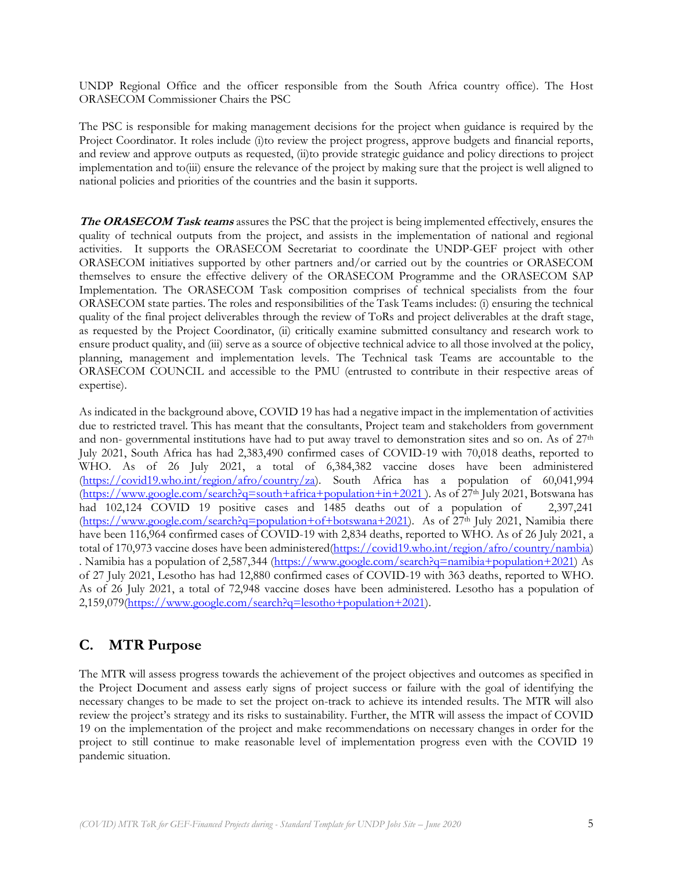UNDP Regional Office and the officer responsible from the South Africa country office). The Host ORASECOM Commissioner Chairs the PSC

The PSC is responsible for making management decisions for the project when guidance is required by the Project Coordinator. It roles include (i)to review the project progress, approve budgets and financial reports, and review and approve outputs as requested, (ii)to provide strategic guidance and policy directions to project implementation and to(iii) ensure the relevance of the project by making sure that the project is well aligned to national policies and priorities of the countries and the basin it supports.

**The ORASECOM Task teams** assures the PSC that the project is being implemented effectively, ensures the quality of technical outputs from the project, and assists in the implementation of national and regional activities. It supports the ORASECOM Secretariat to coordinate the UNDP-GEF project with other ORASECOM initiatives supported by other partners and/or carried out by the countries or ORASECOM themselves to ensure the effective delivery of the ORASECOM Programme and the ORASECOM SAP Implementation. The ORASECOM Task composition comprises of technical specialists from the four ORASECOM state parties. The roles and responsibilities of the Task Teams includes: (i) ensuring the technical quality of the final project deliverables through the review of ToRs and project deliverables at the draft stage, as requested by the Project Coordinator, (ii) critically examine submitted consultancy and research work to ensure product quality, and (iii) serve as a source of objective technical advice to all those involved at the policy, planning, management and implementation levels. The Technical task Teams are accountable to the ORASECOM COUNCIL and accessible to the PMU (entrusted to contribute in their respective areas of expertise).

As indicated in the background above, COVID 19 has had a negative impact in the implementation of activities due to restricted travel. This has meant that the consultants, Project team and stakeholders from government and non- governmental institutions have had to put away travel to demonstration sites and so on. As of  $27<sup>th</sup>$ July 2021, South Africa has had 2,383,490 confirmed cases of COVID-19 with 70,018 deaths, reported to WHO. As of 26 July 2021, a total of 6,384,382 vaccine doses have been administered [\(https://covid19.who.int/region/afro/country/za\)](https://covid19.who.int/region/afro/country/za). South Africa has a population of 60,041,994  $(\frac{https://www.google.com/search?q=south+africa+population+in+2021})$ . As of  $27<sup>th</sup>$  July 2021, Botswana has had 102,124 COVID 19 positive cases and 1485 deaths out of a population of 2,397,241 [\(https://www.google.com/search?q=population+of+botswana+2021\)](https://www.google.com/search?q=population+of+botswana+2021). As of  $27<sup>th</sup>$  July 2021, Namibia there have been 116,964 confirmed cases of COVID-19 with 2,834 deaths, reported to WHO. As of 26 July 2021, a total of 170,973 vaccine doses have been administered[\(https://covid19.who.int/region/afro/country/nambia\)](https://covid19.who.int/region/afro/country/nambia) . Namibia has a population of 2,587,344 [\(https://www.google.com/search?q=namibia+population+2021\)](https://www.google.com/search?q=namibia+population+2021) As of 27 July 2021, Lesotho has had 12,880 confirmed cases of COVID-19 with 363 deaths, reported to WHO. As of 26 July 2021, a total of 72,948 vaccine doses have been administered. Lesotho has a population of 2,159,079[\(https://www.google.com/search?q=lesotho+population+2021\)](https://www.google.com/search?q=lesotho+population+2021).

# **C. MTR Purpose**

The MTR will assess progress towards the achievement of the project objectives and outcomes as specified in the Project Document and assess early signs of project success or failure with the goal of identifying the necessary changes to be made to set the project on-track to achieve its intended results. The MTR will also review the project's strategy and its risks to sustainability. Further, the MTR will assess the impact of COVID 19 on the implementation of the project and make recommendations on necessary changes in order for the project to still continue to make reasonable level of implementation progress even with the COVID 19 pandemic situation.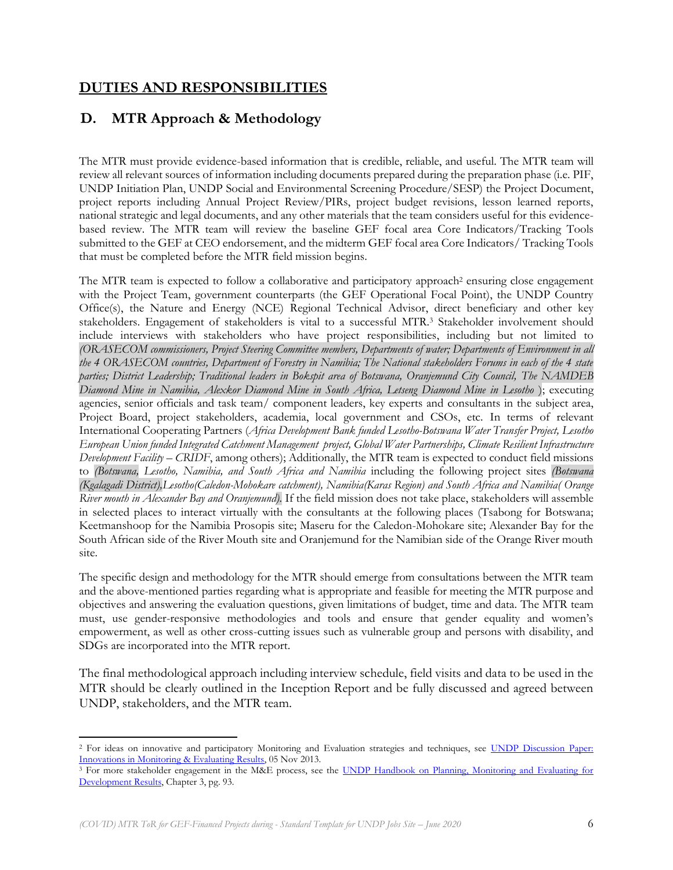## **DUTIES AND RESPONSIBILITIES**

## **D. MTR Approach & Methodology**

The MTR must provide evidence-based information that is credible, reliable, and useful. The MTR team will review all relevant sources of information including documents prepared during the preparation phase (i.e. PIF, UNDP Initiation Plan, UNDP Social and Environmental Screening Procedure/SESP) the Project Document, project reports including Annual Project Review/PIRs, project budget revisions, lesson learned reports, national strategic and legal documents, and any other materials that the team considers useful for this evidencebased review. The MTR team will review the baseline GEF focal area Core Indicators/Tracking Tools submitted to the GEF at CEO endorsement, and the midterm GEF focal area Core Indicators/ Tracking Tools that must be completed before the MTR field mission begins.

The MTR team is expected to follow a collaborative and participatory approach<sup>2</sup> ensuring close engagement with the Project Team, government counterparts (the GEF Operational Focal Point), the UNDP Country Office(s), the Nature and Energy (NCE) Regional Technical Advisor, direct beneficiary and other key stakeholders. Engagement of stakeholders is vital to a successful MTR.<sup>3</sup> Stakeholder involvement should include interviews with stakeholders who have project responsibilities, including but not limited to *(ORASECOM commissioners, Project Steering Committee members, Departments of water; Departments of Environment in all the 4 ORASECOM countries, Department of Forestry in Namibia; The National stakeholders Forums in each of the 4 state parties; District Leadership; Traditional leaders in Bokspit area of Botswana, Oranjemund City Council, The NAMDEB Diamond Mine in Namibia, Alexkor Diamond Mine in South Africa, Letseng Diamond Mine in Lesotho* ); executing agencies, senior officials and task team/ component leaders, key experts and consultants in the subject area, Project Board, project stakeholders, academia, local government and CSOs, etc. In terms of relevant International Cooperating Partners (*Africa Development Bank funded Lesotho-Botswana Water Transfer Project, Lesotho European Union funded Integrated Catchment Management project, Global Water Partnerships, Climate Resilient Infrastructure Development Facility – CRIDF*, among others); Additionally, the MTR team is expected to conduct field missions to *(Botswana, Lesotho, Namibia, and South Africa and Namibia* including the following project sites *(Botswana (Kgalagadi District),Lesotho(Caledon-Mohokare catchment), Namibia(Karas Region) and South Africa and Namibia( Orange River mouth in Alexander Bay and Oranjemund).* If the field mission does not take place, stakeholders will assemble in selected places to interact virtually with the consultants at the following places (Tsabong for Botswana; Keetmanshoop for the Namibia Prosopis site; Maseru for the Caledon-Mohokare site; Alexander Bay for the South African side of the River Mouth site and Oranjemund for the Namibian side of the Orange River mouth site.

The specific design and methodology for the MTR should emerge from consultations between the MTR team and the above-mentioned parties regarding what is appropriate and feasible for meeting the MTR purpose and objectives and answering the evaluation questions, given limitations of budget, time and data. The MTR team must, use gender-responsive methodologies and tools and ensure that gender equality and women's empowerment, as well as other cross-cutting issues such as vulnerable group and persons with disability, and SDGs are incorporated into the MTR report.

The final methodological approach including interview schedule, field visits and data to be used in the MTR should be clearly outlined in the Inception Report and be fully discussed and agreed between UNDP, stakeholders, and the MTR team.

<sup>&</sup>lt;sup>2</sup> For ideas on innovative and participatory Monitoring and Evaluation strategies and techniques, see UNDP Discussion Paper: [Innovations in Monitoring & Evaluating Results,](http://www.undp.org/content/undp/en/home/librarypage/capacity-building/discussion-paper--innovations-in-monitoring---evaluating-results/) 05 Nov 2013.

<sup>&</sup>lt;sup>3</sup> For more stakeholder engagement in the M&E process, see the UNDP Handbook on Planning, Monitoring and Evaluating for [Development Results,](http://www.undg.org/docs/11653/UNDP-PME-Handbook-(2009).pdf) Chapter 3, pg. 93.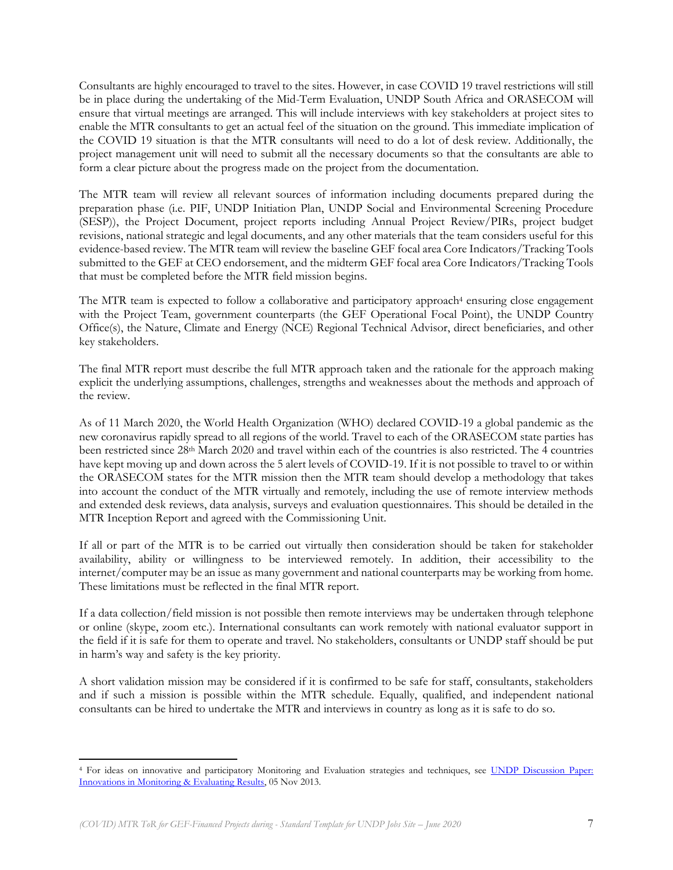Consultants are highly encouraged to travel to the sites. However, in case COVID 19 travel restrictions will still be in place during the undertaking of the Mid-Term Evaluation, UNDP South Africa and ORASECOM will ensure that virtual meetings are arranged. This will include interviews with key stakeholders at project sites to enable the MTR consultants to get an actual feel of the situation on the ground. This immediate implication of the COVID 19 situation is that the MTR consultants will need to do a lot of desk review. Additionally, the project management unit will need to submit all the necessary documents so that the consultants are able to form a clear picture about the progress made on the project from the documentation.

The MTR team will review all relevant sources of information including documents prepared during the preparation phase (i.e. PIF, UNDP Initiation Plan, UNDP Social and Environmental Screening Procedure (SESP)), the Project Document, project reports including Annual Project Review/PIRs, project budget revisions, national strategic and legal documents, and any other materials that the team considers useful for this evidence-based review. The MTR team will review the baseline GEF focal area Core Indicators/Tracking Tools submitted to the GEF at CEO endorsement, and the midterm GEF focal area Core Indicators/Tracking Tools that must be completed before the MTR field mission begins.

The MTR team is expected to follow a collaborative and participatory approach<sup>4</sup> ensuring close engagement with the Project Team, government counterparts (the GEF Operational Focal Point), the UNDP Country Office(s), the Nature, Climate and Energy (NCE) Regional Technical Advisor, direct beneficiaries, and other key stakeholders.

The final MTR report must describe the full MTR approach taken and the rationale for the approach making explicit the underlying assumptions, challenges, strengths and weaknesses about the methods and approach of the review.

As of 11 March 2020, the World Health Organization (WHO) declared COVID-19 a global pandemic as the new coronavirus rapidly spread to all regions of the world. Travel to each of the ORASECOM state parties has been restricted since 28th March 2020 and travel within each of the countries is also restricted. The 4 countries have kept moving up and down across the 5 alert levels of COVID-19. If it is not possible to travel to or within the ORASECOM states for the MTR mission then the MTR team should develop a methodology that takes into account the conduct of the MTR virtually and remotely, including the use of remote interview methods and extended desk reviews, data analysis, surveys and evaluation questionnaires. This should be detailed in the MTR Inception Report and agreed with the Commissioning Unit.

If all or part of the MTR is to be carried out virtually then consideration should be taken for stakeholder availability, ability or willingness to be interviewed remotely. In addition, their accessibility to the internet/computer may be an issue as many government and national counterparts may be working from home. These limitations must be reflected in the final MTR report.

If a data collection/field mission is not possible then remote interviews may be undertaken through telephone or online (skype, zoom etc.). International consultants can work remotely with national evaluator support in the field if it is safe for them to operate and travel. No stakeholders, consultants or UNDP staff should be put in harm's way and safety is the key priority.

A short validation mission may be considered if it is confirmed to be safe for staff, consultants, stakeholders and if such a mission is possible within the MTR schedule. Equally, qualified, and independent national consultants can be hired to undertake the MTR and interviews in country as long as it is safe to do so.

<sup>4</sup> For ideas on innovative and participatory Monitoring and Evaluation strategies and techniques, see [UNDP Discussion Paper:](http://www.undp.org/content/undp/en/home/librarypage/capacity-building/discussion-paper--innovations-in-monitoring---evaluating-results/)  [Innovations in Monitoring & Evaluating Results,](http://www.undp.org/content/undp/en/home/librarypage/capacity-building/discussion-paper--innovations-in-monitoring---evaluating-results/) 05 Nov 2013.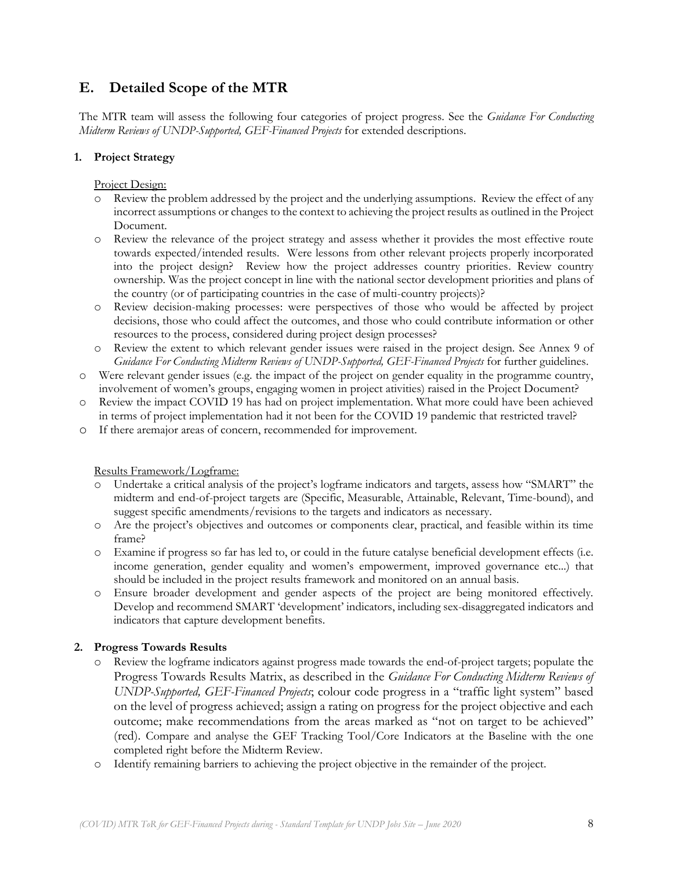## **E. Detailed Scope of the MTR**

The MTR team will assess the following four categories of project progress. See the *Guidance For Conducting Midterm Reviews of UNDP-Supported, GEF-Financed Projects* for extended descriptions.

### **1. Project Strategy**

Project Design:

- o Review the problem addressed by the project and the underlying assumptions. Review the effect of any incorrect assumptions or changes to the context to achieving the project results as outlined in the Project Document.
- o Review the relevance of the project strategy and assess whether it provides the most effective route towards expected/intended results. Were lessons from other relevant projects properly incorporated into the project design? Review how the project addresses country priorities. Review country ownership. Was the project concept in line with the national sector development priorities and plans of the country (or of participating countries in the case of multi-country projects)?
- o Review decision-making processes: were perspectives of those who would be affected by project decisions, those who could affect the outcomes, and those who could contribute information or other resources to the process, considered during project design processes?
- o Review the extent to which relevant gender issues were raised in the project design. See Annex 9 of *Guidance For Conducting Midterm Reviews of UNDP-Supported, GEF-Financed Projects* for further guidelines.
- o Were relevant gender issues (e.g. the impact of the project on gender equality in the programme country, involvement of women's groups, engaging women in project ativities) raised in the Project Document?
- o Review the impact COVID 19 has had on project implementation. What more could have been achieved in terms of project implementation had it not been for the COVID 19 pandemic that restricted travel?
- o If there aremajor areas of concern, recommended for improvement.

### Results Framework/Logframe:

- Undertake a critical analysis of the project's logframe indicators and targets, assess how "SMART" the midterm and end-of-project targets are (Specific, Measurable, Attainable, Relevant, Time-bound), and suggest specific amendments/revisions to the targets and indicators as necessary.
- o Are the project's objectives and outcomes or components clear, practical, and feasible within its time frame?
- o Examine if progress so far has led to, or could in the future catalyse beneficial development effects (i.e. income generation, gender equality and women's empowerment, improved governance etc...) that should be included in the project results framework and monitored on an annual basis.
- o Ensure broader development and gender aspects of the project are being monitored effectively. Develop and recommend SMART 'development' indicators, including sex-disaggregated indicators and indicators that capture development benefits.

### **2. Progress Towards Results**

- o Review the logframe indicators against progress made towards the end-of-project targets; populate the Progress Towards Results Matrix, as described in the *Guidance For Conducting Midterm Reviews of UNDP-Supported, GEF-Financed Projects*; colour code progress in a "traffic light system" based on the level of progress achieved; assign a rating on progress for the project objective and each outcome; make recommendations from the areas marked as "not on target to be achieved" (red). Compare and analyse the GEF Tracking Tool/Core Indicators at the Baseline with the one completed right before the Midterm Review.
- o Identify remaining barriers to achieving the project objective in the remainder of the project.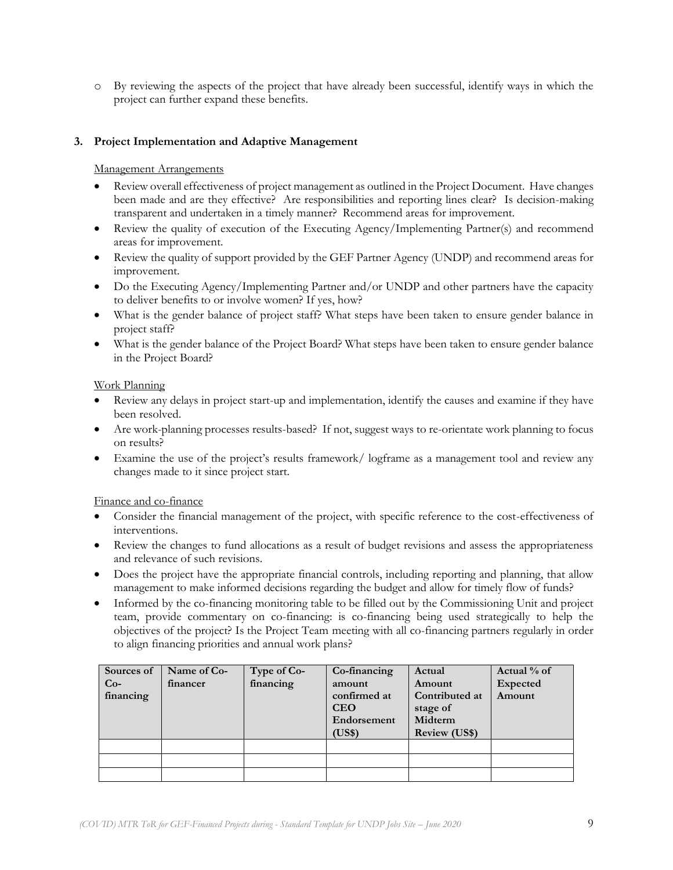o By reviewing the aspects of the project that have already been successful, identify ways in which the project can further expand these benefits.

### **3. Project Implementation and Adaptive Management**

#### Management Arrangements

- Review overall effectiveness of project management as outlined in the Project Document. Have changes been made and are they effective? Are responsibilities and reporting lines clear? Is decision-making transparent and undertaken in a timely manner? Recommend areas for improvement.
- Review the quality of execution of the Executing Agency/Implementing Partner(s) and recommend areas for improvement.
- Review the quality of support provided by the GEF Partner Agency (UNDP) and recommend areas for improvement.
- Do the Executing Agency/Implementing Partner and/or UNDP and other partners have the capacity to deliver benefits to or involve women? If yes, how?
- What is the gender balance of project staff? What steps have been taken to ensure gender balance in project staff?
- What is the gender balance of the Project Board? What steps have been taken to ensure gender balance in the Project Board?

#### Work Planning

- Review any delays in project start-up and implementation, identify the causes and examine if they have been resolved.
- Are work-planning processes results-based? If not, suggest ways to re-orientate work planning to focus on results?
- Examine the use of the project's results framework/ logframe as a management tool and review any changes made to it since project start.

Finance and co-finance

- Consider the financial management of the project, with specific reference to the cost-effectiveness of interventions.
- Review the changes to fund allocations as a result of budget revisions and assess the appropriateness and relevance of such revisions.
- Does the project have the appropriate financial controls, including reporting and planning, that allow management to make informed decisions regarding the budget and allow for timely flow of funds?
- Informed by the co-financing monitoring table to be filled out by the Commissioning Unit and project team, provide commentary on co-financing: is co-financing being used strategically to help the objectives of the project? Is the Project Team meeting with all co-financing partners regularly in order to align financing priorities and annual work plans?

| Sources of<br>$Co-$<br>financing | Name of Co-<br>financer | Type of Co-<br>financing | Co-financing<br>amount<br>confirmed at<br><b>CEO</b><br>Endorsement<br>(US\$) | Actual<br>Amount<br>Contributed at<br>stage of<br>Midterm<br><b>Review (US\$)</b> | Actual % of<br><b>Expected</b><br>Amount |
|----------------------------------|-------------------------|--------------------------|-------------------------------------------------------------------------------|-----------------------------------------------------------------------------------|------------------------------------------|
|                                  |                         |                          |                                                                               |                                                                                   |                                          |
|                                  |                         |                          |                                                                               |                                                                                   |                                          |
|                                  |                         |                          |                                                                               |                                                                                   |                                          |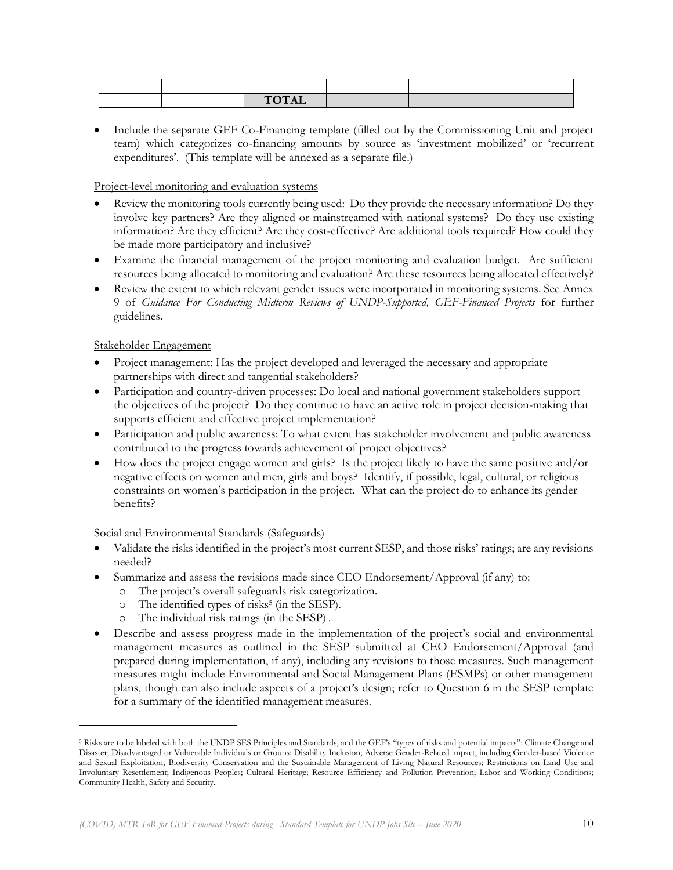|  | HOMI<br>101TH |  |  |
|--|---------------|--|--|

• Include the separate GEF Co-Financing template (filled out by the Commissioning Unit and project team) which categorizes co-financing amounts by source as 'investment mobilized' or 'recurrent expenditures'. (This template will be annexed as a separate file.)

### Project-level monitoring and evaluation systems

- Review the monitoring tools currently being used: Do they provide the necessary information? Do they involve key partners? Are they aligned or mainstreamed with national systems? Do they use existing information? Are they efficient? Are they cost-effective? Are additional tools required? How could they be made more participatory and inclusive?
- Examine the financial management of the project monitoring and evaluation budget. Are sufficient resources being allocated to monitoring and evaluation? Are these resources being allocated effectively?
- Review the extent to which relevant gender issues were incorporated in monitoring systems. See Annex 9 of *Guidance For Conducting Midterm Reviews of UNDP-Supported, GEF-Financed Projects* for further guidelines.

### Stakeholder Engagement

- Project management: Has the project developed and leveraged the necessary and appropriate partnerships with direct and tangential stakeholders?
- Participation and country-driven processes: Do local and national government stakeholders support the objectives of the project? Do they continue to have an active role in project decision-making that supports efficient and effective project implementation?
- Participation and public awareness: To what extent has stakeholder involvement and public awareness contributed to the progress towards achievement of project objectives?
- How does the project engage women and girls? Is the project likely to have the same positive and/or negative effects on women and men, girls and boys? Identify, if possible, legal, cultural, or religious constraints on women's participation in the project. What can the project do to enhance its gender benefits?

### Social and Environmental Standards (Safeguards)

- Validate the risks identified in the project's most current SESP, and those risks' ratings; are any revisions needed?
- Summarize and assess the revisions made since CEO Endorsement/Approval (if any) to:
	- o The project's overall safeguards risk categorization.
	- o The identified types of risks<sup>5</sup> (in the SESP).
	- o The individual risk ratings (in the SESP) .
- Describe and assess progress made in the implementation of the project's social and environmental management measures as outlined in the SESP submitted at CEO Endorsement/Approval (and prepared during implementation, if any), including any revisions to those measures. Such management measures might include Environmental and Social Management Plans (ESMPs) or other management plans, though can also include aspects of a project's design; refer to Question 6 in the SESP template for a summary of the identified management measures.

<sup>&</sup>lt;sup>5</sup> Risks are to be labeled with both the UNDP SES Principles and Standards, and the GEF's "types of risks and potential impacts": Climate Change and Disaster; Disadvantaged or Vulnerable Individuals or Groups; Disability Inclusion; Adverse Gender-Related impact, including Gender-based Violence and Sexual Exploitation; Biodiversity Conservation and the Sustainable Management of Living Natural Resources; Restrictions on Land Use and Involuntary Resettlement; Indigenous Peoples; Cultural Heritage; Resource Efficiency and Pollution Prevention; Labor and Working Conditions; Community Health, Safety and Security.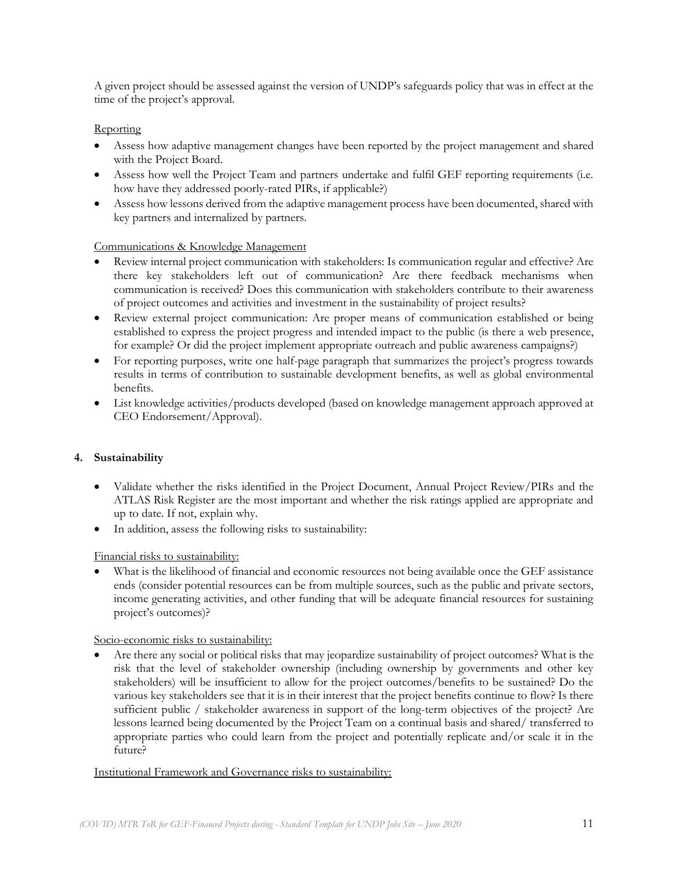A given project should be assessed against the version of UNDP's safeguards policy that was in effect at the time of the project's approval.

### **Reporting**

- Assess how adaptive management changes have been reported by the project management and shared with the Project Board.
- Assess how well the Project Team and partners undertake and fulfil GEF reporting requirements (i.e. how have they addressed poorly-rated PIRs, if applicable?)
- Assess how lessons derived from the adaptive management process have been documented, shared with key partners and internalized by partners.

### Communications & Knowledge Management

- Review internal project communication with stakeholders: Is communication regular and effective? Are there key stakeholders left out of communication? Are there feedback mechanisms when communication is received? Does this communication with stakeholders contribute to their awareness of project outcomes and activities and investment in the sustainability of project results?
- Review external project communication: Are proper means of communication established or being established to express the project progress and intended impact to the public (is there a web presence, for example? Or did the project implement appropriate outreach and public awareness campaigns?)
- For reporting purposes, write one half-page paragraph that summarizes the project's progress towards results in terms of contribution to sustainable development benefits, as well as global environmental benefits.
- List knowledge activities/products developed (based on knowledge management approach approved at CEO Endorsement/Approval).

### **4. Sustainability**

- Validate whether the risks identified in the Project Document, Annual Project Review/PIRs and the ATLAS Risk Register are the most important and whether the risk ratings applied are appropriate and up to date. If not, explain why.
- In addition, assess the following risks to sustainability:

### Financial risks to sustainability:

What is the likelihood of financial and economic resources not being available once the GEF assistance ends (consider potential resources can be from multiple sources, such as the public and private sectors, income generating activities, and other funding that will be adequate financial resources for sustaining project's outcomes)?

### Socio-economic risks to sustainability:

• Are there any social or political risks that may jeopardize sustainability of project outcomes? What is the risk that the level of stakeholder ownership (including ownership by governments and other key stakeholders) will be insufficient to allow for the project outcomes/benefits to be sustained? Do the various key stakeholders see that it is in their interest that the project benefits continue to flow? Is there sufficient public / stakeholder awareness in support of the long-term objectives of the project? Are lessons learned being documented by the Project Team on a continual basis and shared/ transferred to appropriate parties who could learn from the project and potentially replicate and/or scale it in the future?

#### Institutional Framework and Governance risks to sustainability: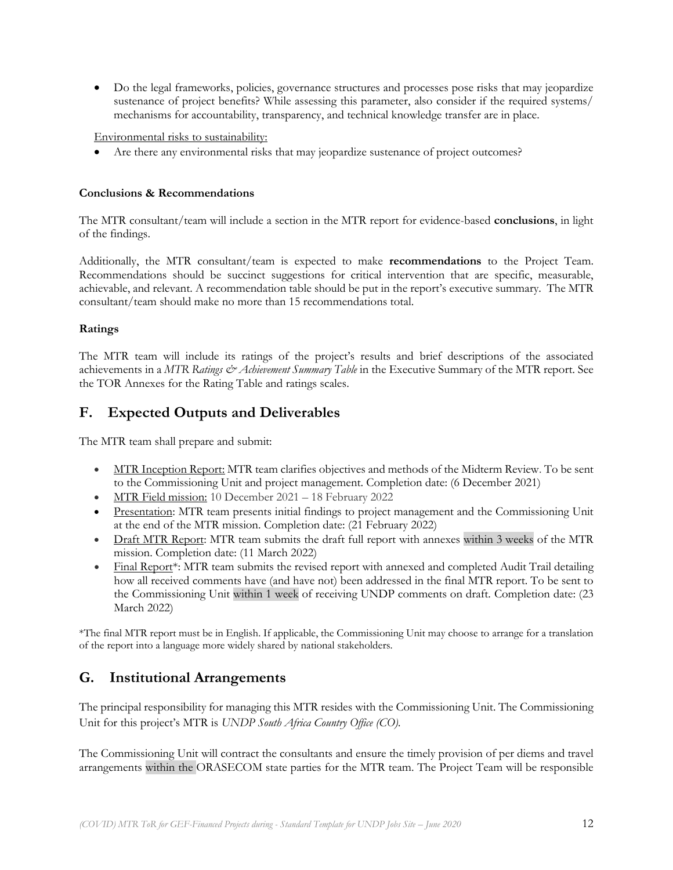• Do the legal frameworks, policies, governance structures and processes pose risks that may jeopardize sustenance of project benefits? While assessing this parameter, also consider if the required systems/ mechanisms for accountability, transparency, and technical knowledge transfer are in place.

Environmental risks to sustainability:

Are there any environmental risks that may jeopardize sustenance of project outcomes?

#### **Conclusions & Recommendations**

The MTR consultant/team will include a section in the MTR report for evidence-based **conclusions**, in light of the findings.

Additionally, the MTR consultant/team is expected to make **recommendations** to the Project Team. Recommendations should be succinct suggestions for critical intervention that are specific, measurable, achievable, and relevant. A recommendation table should be put in the report's executive summary. The MTR consultant/team should make no more than 15 recommendations total.

#### **Ratings**

The MTR team will include its ratings of the project's results and brief descriptions of the associated achievements in a *MTR Ratings & Achievement Summary Table* in the Executive Summary of the MTR report. See the TOR Annexes for the Rating Table and ratings scales.

## **F. Expected Outputs and Deliverables**

The MTR team shall prepare and submit:

- MTR Inception Report: MTR team clarifies objectives and methods of the Midterm Review. To be sent to the Commissioning Unit and project management. Completion date: (6 December 2021)
- MTR Field mission: 10 December 2021 18 February 2022
- Presentation: MTR team presents initial findings to project management and the Commissioning Unit at the end of the MTR mission. Completion date: (21 February 2022)
- Draft MTR Report: MTR team submits the draft full report with annexes within 3 weeks of the MTR mission. Completion date: (11 March 2022)
- Final Report\*: MTR team submits the revised report with annexed and completed Audit Trail detailing how all received comments have (and have not) been addressed in the final MTR report. To be sent to the Commissioning Unit within 1 week of receiving UNDP comments on draft. Completion date: (23 March 2022)

\*The final MTR report must be in English. If applicable, the Commissioning Unit may choose to arrange for a translation of the report into a language more widely shared by national stakeholders.

## **G. Institutional Arrangements**

The principal responsibility for managing this MTR resides with the Commissioning Unit. The Commissioning Unit for this project's MTR is *UNDP South Africa Country Office (CO).*

The Commissioning Unit will contract the consultants and ensure the timely provision of per diems and travel arrangements within the ORASECOM state parties for the MTR team. The Project Team will be responsible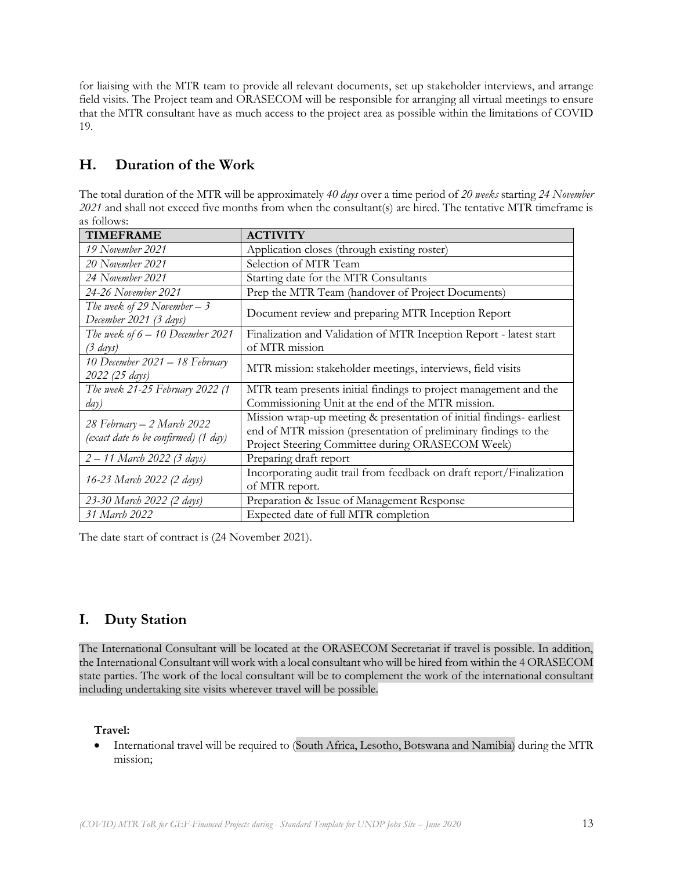for liaising with the MTR team to provide all relevant documents, set up stakeholder interviews, and arrange field visits. The Project team and ORASECOM will be responsible for arranging all virtual meetings to ensure that the MTR consultant have as much access to the project area as possible within the limitations of COVID 19.

# **H. Duration of the Work**

The total duration of the MTR will be approximately *40 days* over a time period of *20 weeks* starting *24 November 2021* and shall not exceed five months from when the consultant(s) are hired. The tentative MTR timeframe is as follows:

| <b>TIMEFRAME</b>                                                   | <b>ACTIVITY</b>                                                                                                                                                                             |  |  |
|--------------------------------------------------------------------|---------------------------------------------------------------------------------------------------------------------------------------------------------------------------------------------|--|--|
| 19 November 2021                                                   | Application closes (through existing roster)                                                                                                                                                |  |  |
| 20 November 2021                                                   | Selection of MTR Team                                                                                                                                                                       |  |  |
| 24 November 2021                                                   | Starting date for the MTR Consultants                                                                                                                                                       |  |  |
| 24-26 November 2021                                                | Prep the MTR Team (handover of Project Documents)                                                                                                                                           |  |  |
| The week of 29 November – 3<br>December 2021 (3 days)              | Document review and preparing MTR Inception Report                                                                                                                                          |  |  |
| The week of $6 - 10$ December 2021<br>$(3 \text{ days})$           | Finalization and Validation of MTR Inception Report - latest start<br>of MTR mission                                                                                                        |  |  |
| 10 December 2021 – 18 February<br>2022 (25 days)                   | MTR mission: stakeholder meetings, interviews, field visits                                                                                                                                 |  |  |
| The week 21-25 February 2022 (1                                    | MTR team presents initial findings to project management and the                                                                                                                            |  |  |
| day)                                                               | Commissioning Unit at the end of the MTR mission.                                                                                                                                           |  |  |
| 28 February – 2 March 2022<br>(exact date to be confirmed) (1 day) | Mission wrap-up meeting & presentation of initial findings- earliest<br>end of MTR mission (presentation of preliminary findings to the<br>Project Steering Committee during ORASECOM Week) |  |  |
| 2 – 11 March 2022 (3 days)                                         | Preparing draft report                                                                                                                                                                      |  |  |
| 16-23 March 2022 (2 days)                                          | Incorporating audit trail from feedback on draft report/Finalization<br>of MTR report.                                                                                                      |  |  |
| 23-30 March 2022 (2 days)                                          | Preparation & Issue of Management Response                                                                                                                                                  |  |  |
| 31 March 2022                                                      | Expected date of full MTR completion                                                                                                                                                        |  |  |

The date start of contract is (24 November 2021).

# **I. Duty Station**

The International Consultant will be located at the ORASECOM Secretariat if travel is possible. In addition, the International Consultant will work with a local consultant who will be hired from within the 4 ORASECOM state parties. The work of the local consultant will be to complement the work of the international consultant including undertaking site visits wherever travel will be possible.

### **Travel:**

• International travel will be required to (South Africa, Lesotho, Botswana and Namibia) during the MTR mission;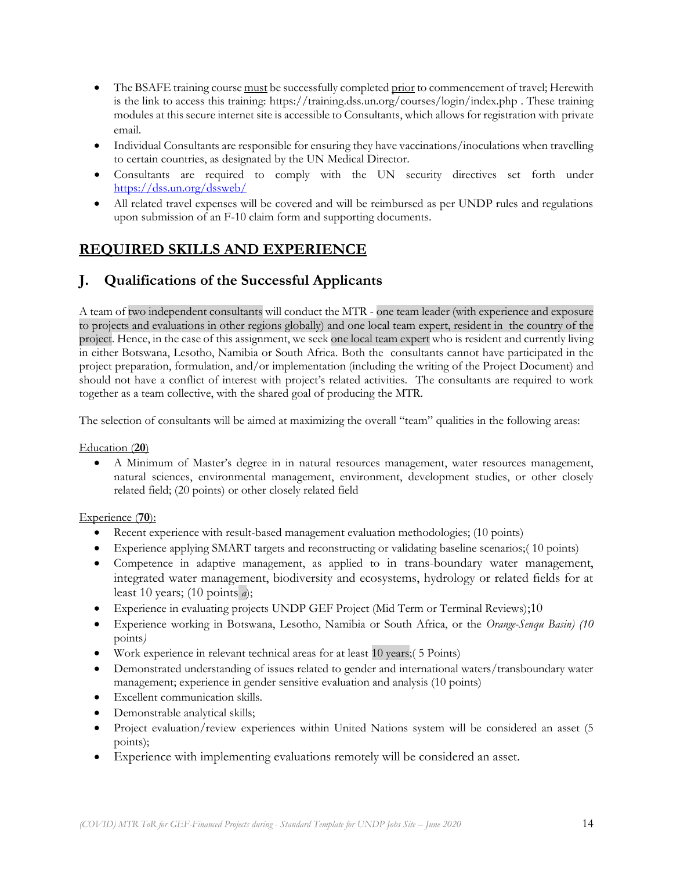- The BSAFE training course must be successfully completed prior to commencement of travel; Herewith is the link to access this training: [https://training.dss.un.org/courses/login/index.php](https://eur03.safelinks.protection.outlook.com/?url=https%3A%2F%2Ftraining.dss.un.org%2Fcourses%2Flogin%2Findex.php&data=02%7C01%7Cmargarita.arguelles%40undp.org%7Cf844bcc8bed44b9d964e08d81439040f%7Cb3e5db5e2944483799f57488ace54319%7C0%7C0%7C637281583941862242&sdata=rxpJarejT1BkWC%2FDUq2F4MmAZf43mbRMl5fFqWWBTyY%3D&reserved=0) . These training modules at this secure internet site is accessible to Consultants, which allows for registration with private email.
- Individual Consultants are responsible for ensuring they have vaccinations/inoculations when travelling to certain countries, as designated by the UN Medical Director.
- Consultants are required to comply with the UN security directives set forth under <https://dss.un.org/dssweb/>
- All related travel expenses will be covered and will be reimbursed as per UNDP rules and regulations upon submission of an F-10 claim form and supporting documents.

# **REQUIRED SKILLS AND EXPERIENCE**

# **J. Qualifications of the Successful Applicants**

A team of two independent consultants will conduct the MTR - one team leader (with experience and exposure to projects and evaluations in other regions globally) and one local team expert, resident in the country of the project. Hence, in the case of this assignment, we seek one local team expert who is resident and currently living in either Botswana, Lesotho, Namibia or South Africa. Both the consultants cannot have participated in the project preparation, formulation, and/or implementation (including the writing of the Project Document) and should not have a conflict of interest with project's related activities. The consultants are required to work together as a team collective, with the shared goal of producing the MTR.

The selection of consultants will be aimed at maximizing the overall "team" qualities in the following areas:

### Education (**20**)

• A Minimum of Master's degree in in natural resources management, water resources management, natural sciences, environmental management, environment, development studies, or other closely related field; (20 points) or other closely related field

### Experience (**70**):

- Recent experience with result-based management evaluation methodologies; (10 points)
- Experience applying SMART targets and reconstructing or validating baseline scenarios;( 10 points)
- Competence in adaptive management, as applied to in trans-boundary water management, integrated water management, biodiversity and ecosystems, hydrology or related fields for at least 10 years; (10 points *a*);
- Experience in evaluating projects UNDP GEF Project (Mid Term or Terminal Reviews);10
- Experience working in Botswana, Lesotho, Namibia or South Africa, or the *Orange-Senqu Basin) (10*  points*)*
- Work experience in relevant technical areas for at least 10 years;( 5 Points)
- Demonstrated understanding of issues related to gender and international waters/transboundary water management; experience in gender sensitive evaluation and analysis (10 points)
- Excellent communication skills.
- Demonstrable analytical skills;
- Project evaluation/review experiences within United Nations system will be considered an asset (5 points);
- Experience with implementing evaluations remotely will be considered an asset.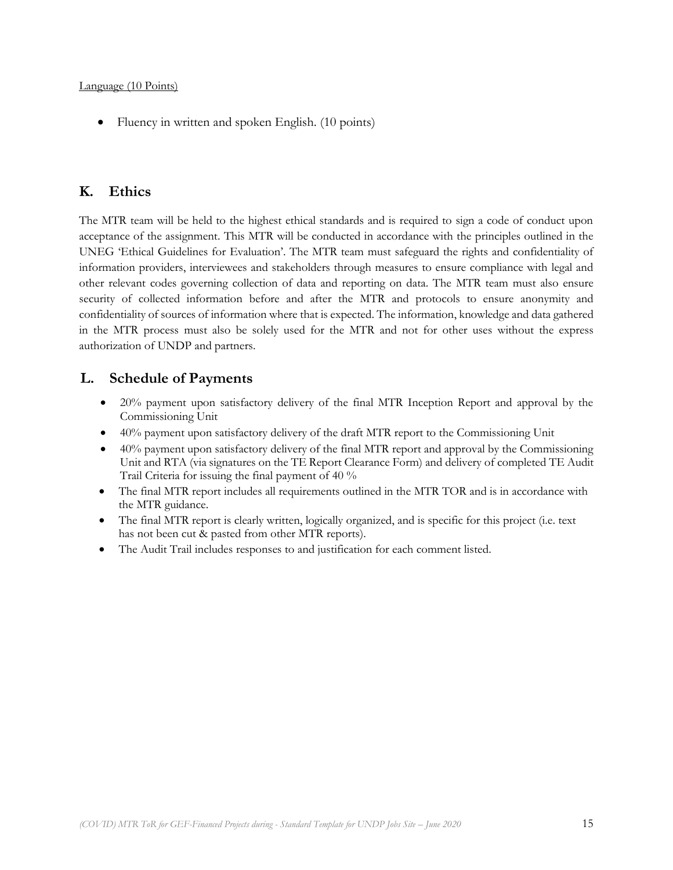• Fluency in written and spoken English. (10 points)

# **K. Ethics**

The MTR team will be held to the highest ethical standards and is required to sign a code of conduct upon acceptance of the assignment. This MTR will be conducted in accordance with the principles outlined in the UNEG 'Ethical Guidelines for Evaluation'. The MTR team must safeguard the rights and confidentiality of information providers, interviewees and stakeholders through measures to ensure compliance with legal and other relevant codes governing collection of data and reporting on data. The MTR team must also ensure security of collected information before and after the MTR and protocols to ensure anonymity and confidentiality of sources of information where that is expected. The information, knowledge and data gathered in the MTR process must also be solely used for the MTR and not for other uses without the express authorization of UNDP and partners.

## **L. Schedule of Payments**

- 20% payment upon satisfactory delivery of the final MTR Inception Report and approval by the Commissioning Unit
- 40% payment upon satisfactory delivery of the draft MTR report to the Commissioning Unit
- $\bullet$  40% payment upon satisfactory delivery of the final MTR report and approval by the Commissioning Unit and RTA (via signatures on the TE Report Clearance Form) and delivery of completed TE Audit Trail Criteria for issuing the final payment of 40 %
- The final MTR report includes all requirements outlined in the MTR TOR and is in accordance with the MTR guidance.
- The final MTR report is clearly written, logically organized, and is specific for this project (i.e. text has not been cut & pasted from other MTR reports).
- The Audit Trail includes responses to and justification for each comment listed.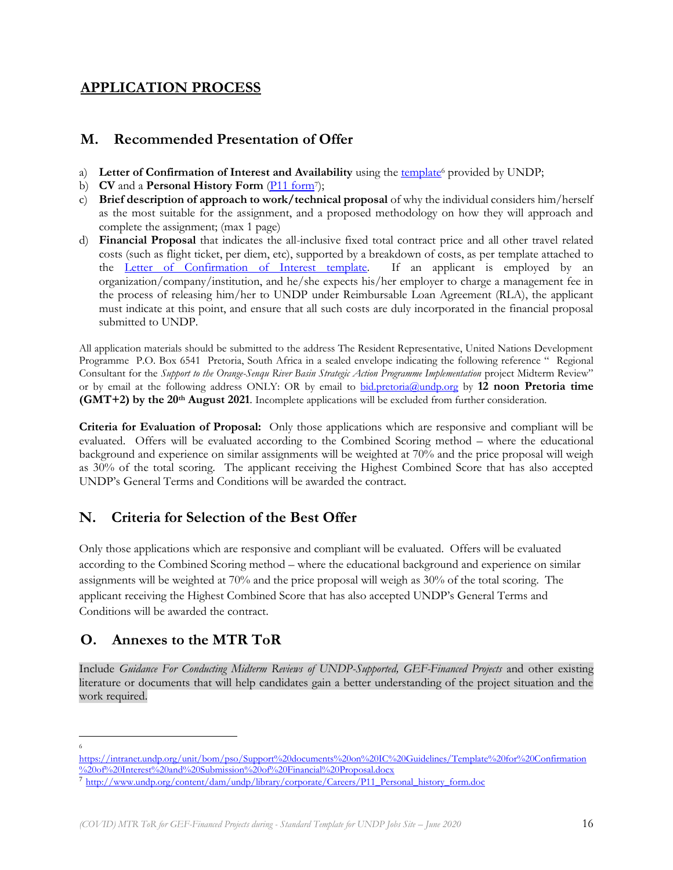## **APPLICATION PROCESS**

### **M. Recommended Presentation of Offer**

- a) Letter of Confirmation of Interest and Availability using the [template](https://intranet.undp.org/unit/bom/pso/Support%20documents%20on%20IC%20Guidelines/Template%20for%20Confirmation%20of%20Interest%20and%20Submission%20of%20Financial%20Proposal.docx)<sup>6</sup> provided by UNDP;
- b) **CV** and a **Personal History Form** (*P11 form*<sup>7</sup>);
- c) **Brief description of approach to work/technical proposal** of why the individual considers him/herself as the most suitable for the assignment, and a proposed methodology on how they will approach and complete the assignment; (max 1 page)
- d) **Financial Proposal** that indicates the all-inclusive fixed total contract price and all other travel related costs (such as flight ticket, per diem, etc), supported by a breakdown of costs, as per template attached to the [Letter of Confirmation of Interest template.](https://popp.undp.org/_layouts/15/WopiFrame.aspx?sourcedoc=/UNDP_POPP_DOCUMENT_LIBRARY/Public/PSU_%20Individual%20Contract_Offerors%20Letter%20to%20UNDP%20Confirming%20Interest%20and%20Availability.docx&action=default) If an applicant is employed by an organization/company/institution, and he/she expects his/her employer to charge a management fee in the process of releasing him/her to UNDP under Reimbursable Loan Agreement (RLA), the applicant must indicate at this point, and ensure that all such costs are duly incorporated in the financial proposal submitted to UNDP.

All application materials should be submitted to the address The Resident Representative, United Nations Development Programme P.O. Box 6541 Pretoria, South Africa in a sealed envelope indicating the following reference " Regional Consultant for the *Support to the Orange-Senqu River Basin Strategic Action Programme Implementation* project Midterm Review" or by email at the following address ONLY: OR by email to [bid.pretoria@undp.org](mailto:bid.pretoria@undp.org) by **12 noon Pretoria time (GMT+2) by the 20th August 2021**. Incomplete applications will be excluded from further consideration.

**Criteria for Evaluation of Proposal:** Only those applications which are responsive and compliant will be evaluated. Offers will be evaluated according to the Combined Scoring method – where the educational background and experience on similar assignments will be weighted at 70% and the price proposal will weigh as 30% of the total scoring. The applicant receiving the Highest Combined Score that has also accepted UNDP's General Terms and Conditions will be awarded the contract.

# **N. Criteria for Selection of the Best Offer**

Only those applications which are responsive and compliant will be evaluated. Offers will be evaluated according to the Combined Scoring method – where the educational background and experience on similar assignments will be weighted at 70% and the price proposal will weigh as 30% of the total scoring. The applicant receiving the Highest Combined Score that has also accepted UNDP's General Terms and Conditions will be awarded the contract.

# **O. Annexes to the MTR ToR**

Include *Guidance For Conducting Midterm Reviews of UNDP-Supported, GEF-Financed Projects* and other existing literature or documents that will help candidates gain a better understanding of the project situation and the work required.

<sup>6</sup>

[https://intranet.undp.org/unit/bom/pso/Support%20documents%20on%20IC%20Guidelines/Template%20for%20Confirmation](https://intranet.undp.org/unit/bom/pso/Support%20documents%20on%20IC%20Guidelines/Template%20for%20Confirmation%20of%20Interest%20and%20Submission%20of%20Financial%20Proposal.docx) [%20of%20Interest%20and%20Submission%20of%20Financial%20Proposal.docx](https://intranet.undp.org/unit/bom/pso/Support%20documents%20on%20IC%20Guidelines/Template%20for%20Confirmation%20of%20Interest%20and%20Submission%20of%20Financial%20Proposal.docx)

<sup>7</sup> [http://www.undp.org/content/dam/undp/library/corporate/Careers/P11\\_Personal\\_history\\_form.doc](http://www.undp.org/content/dam/undp/library/corporate/Careers/P11_Personal_history_form.doc)